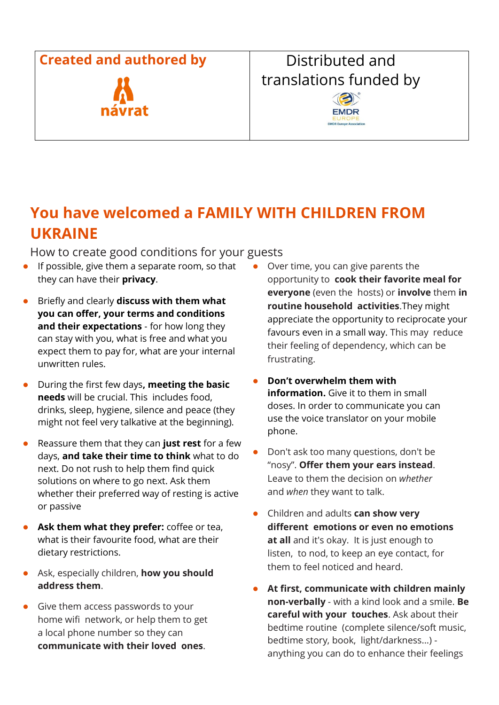## **Created and authored by Fig. 3 and Distributed and Streams**



## translations funded by



## **You have welcomed a FAMILY WITH CHILDREN FROM UKRAINE**

How to create good conditions for your guests

- **●** If possible, give them a separate room, so that they can have their **privacy**.
- **●** Briefly and clearly **discuss with them what you can offer, your terms and conditions and their expectations** - for how long they can stay with you, what is free and what you expect them to pay for, what are your internal unwritten rules.
- **●** During the first few days**, meeting the basic needs** will be crucial. This includes food, drinks, sleep, hygiene, silence and peace (they might not feel very talkative at the beginning).
- **●** Reassure them that they can **just rest** for a few days, **and take their time to think** what to do next. Do not rush to help them find quick solutions on where to go next. Ask them whether their preferred way of resting is active or passive
- Ask them what they prefer: coffee or tea, what is their favourite food, what are their dietary restrictions.
- **●** Ask, especially children, **how you should address them**.
- **●** Give them access passwords to your home wifi network, or help them to get a local phone number so they can **communicate with their loved ones**.
- **●** Over time, you can give parents the opportunity to **cook their favorite meal for everyone** (even the hosts) or **involve** them **in routine household activities**.They might appreciate the opportunity to reciprocate your favours even in a small way. This may reduce their feeling of dependency, which can be frustrating.
- **● Don't overwhelm them with information.** Give it to them in small doses. In order to communicate you can use the voice translator on your mobile phone.
- **●** Don't ask too many questions, don't be "nosy". **Offer them your ears instead**. Leave to them the decision on *whether*  and *when* they want to talk.
- **●** Children and adults **can show very different emotions or even no emotions at all** and it's okay. It is just enough to listen, to nod, to keep an eye contact, for them to feel noticed and heard.
- **● At first, communicate with children mainly non-verbally** - with a kind look and a smile. **Be careful with your touches**. Ask about their bedtime routine (complete silence/soft music, bedtime story, book, light/darkness...) anything you can do to enhance their feelings